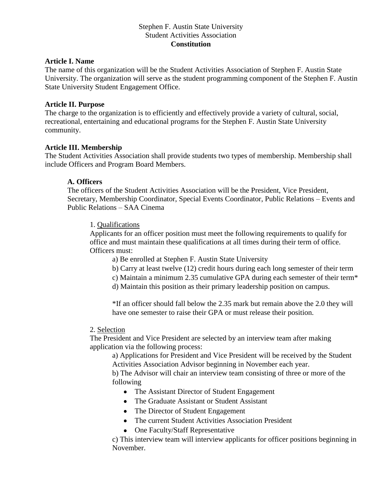## Stephen F. Austin State University Student Activities Association **Constitution**

### **Article I. Name**

The name of this organization will be the Student Activities Association of Stephen F. Austin State University. The organization will serve as the student programming component of the Stephen F. Austin State University Student Engagement Office.

### **Article II. Purpose**

The charge to the organization is to efficiently and effectively provide a variety of cultural, social, recreational, entertaining and educational programs for the Stephen F. Austin State University community.

## **Article III. Membership**

The Student Activities Association shall provide students two types of membership. Membership shall include Officers and Program Board Members.

## **A. Officers**

The officers of the Student Activities Association will be the President, Vice President, Secretary, Membership Coordinator, Special Events Coordinator, Public Relations – Events and Public Relations – SAA Cinema

#### 1. Qualifications

Applicants for an officer position must meet the following requirements to qualify for office and must maintain these qualifications at all times during their term of office. Officers must:

- a) Be enrolled at Stephen F. Austin State University
- b) Carry at least twelve (12) credit hours during each long semester of their term
- c) Maintain a minimum 2.35 cumulative GPA during each semester of their term\*
- d) Maintain this position as their primary leadership position on campus.

\*If an officer should fall below the 2.35 mark but remain above the 2.0 they will have one semester to raise their GPA or must release their position.

#### 2. Selection

The President and Vice President are selected by an interview team after making application via the following process:

a) Applications for President and Vice President will be received by the Student Activities Association Advisor beginning in November each year.

b) The Advisor will chair an interview team consisting of three or more of the following

- The Assistant Director of Student Engagement
- The Graduate Assistant or Student Assistant
- The Director of Student Engagement
- The current Student Activities Association President
- One Faculty/Staff Representative

c) This interview team will interview applicants for officer positions beginning in November.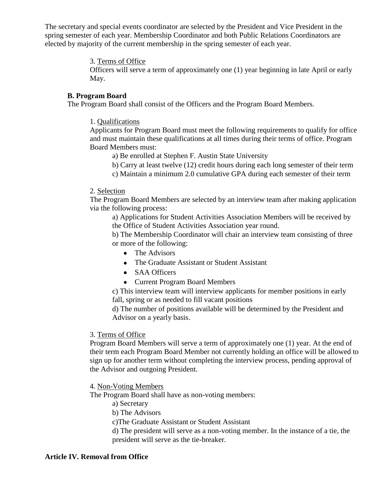The secretary and special events coordinator are selected by the President and Vice President in the spring semester of each year. Membership Coordinator and both Public Relations Coordinators are elected by majority of the current membership in the spring semester of each year.

## 3. Terms of Office

Officers will serve a term of approximately one (1) year beginning in late April or early May.

## **B. Program Board**

The Program Board shall consist of the Officers and the Program Board Members.

1. Qualifications

Applicants for Program Board must meet the following requirements to qualify for office and must maintain these qualifications at all times during their terms of office. Program Board Members must:

- a) Be enrolled at Stephen F. Austin State University
- b) Carry at least twelve (12) credit hours during each long semester of their term
- c) Maintain a minimum 2.0 cumulative GPA during each semester of their term

## 2. Selection

The Program Board Members are selected by an interview team after making application via the following process:

a) Applications for Student Activities Association Members will be received by the Office of Student Activities Association year round.

b) The Membership Coordinator will chair an interview team consisting of three or more of the following:

- The Advisors
- The Graduate Assistant or Student Assistant
- SAA Officers
- Current Program Board Members

c) This interview team will interview applicants for member positions in early fall, spring or as needed to fill vacant positions

d) The number of positions available will be determined by the President and Advisor on a yearly basis.

## 3. Terms of Office

Program Board Members will serve a term of approximately one (1) year. At the end of their term each Program Board Member not currently holding an office will be allowed to sign up for another term without completing the interview process, pending approval of the Advisor and outgoing President.

4. Non-Voting Members

The Program Board shall have as non-voting members:

- a) Secretary
- b) The Advisors

c)The Graduate Assistant or Student Assistant

d) The president will serve as a non-voting member. In the instance of a tie, the president will serve as the tie-breaker.